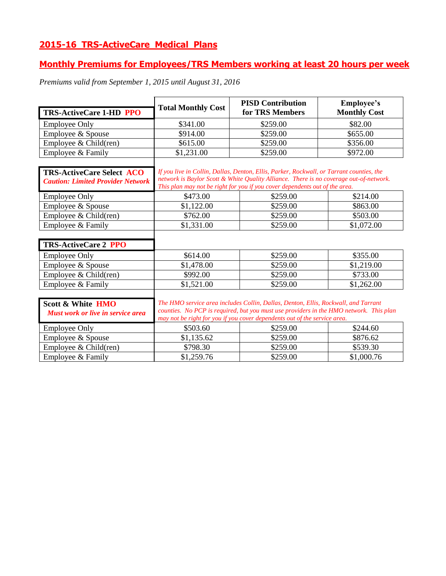# **2015-16 TRS-ActiveCare Medical Plans**

## **Monthly Premiums for Employees/TRS Members working at least 20 hours per week**

*Premiums valid from September 1, 2015 until August 31, 2016*

| TRS-ActiveCare 1-HD PPO                                                      | <b>Total Monthly Cost</b>                                                                                                                                                                                                                                         | <b>PISD Contribution</b><br>for TRS Members | <b>Employee's</b><br><b>Monthly Cost</b> |
|------------------------------------------------------------------------------|-------------------------------------------------------------------------------------------------------------------------------------------------------------------------------------------------------------------------------------------------------------------|---------------------------------------------|------------------------------------------|
|                                                                              |                                                                                                                                                                                                                                                                   |                                             |                                          |
| <b>Employee Only</b>                                                         | \$341.00                                                                                                                                                                                                                                                          | \$259.00                                    | \$82.00                                  |
| Employee & Spouse                                                            | \$914.00                                                                                                                                                                                                                                                          | \$259.00                                    | \$655.00                                 |
| Employee $& Child(ren)$                                                      | \$615.00                                                                                                                                                                                                                                                          | \$259.00                                    | \$356.00                                 |
| Employee & Family                                                            | \$1,231.00                                                                                                                                                                                                                                                        | \$259.00                                    | \$972.00                                 |
| <b>TRS-ActiveCare Select ACO</b><br><b>Caution: Limited Provider Network</b> | If you live in Collin, Dallas, Denton, Ellis, Parker, Rockwall, or Tarrant counties, the<br>network is Baylor Scott & White Quality Alliance. There is no coverage out-of-network.<br>This plan may not be right for you if you cover dependents out of the area. |                                             |                                          |
| <b>Employee Only</b>                                                         | \$473.00                                                                                                                                                                                                                                                          | \$259.00                                    | \$214.00                                 |
| Employee & Spouse                                                            | \$1,122.00                                                                                                                                                                                                                                                        | \$259.00                                    | \$863.00                                 |
| Employee & Child(ren)                                                        | \$762.00                                                                                                                                                                                                                                                          | \$259.00                                    | \$503.00                                 |
| Employee & Family                                                            | \$1,331.00                                                                                                                                                                                                                                                        | \$259.00                                    | \$1,072.00                               |
|                                                                              |                                                                                                                                                                                                                                                                   |                                             |                                          |
| <b>TRS-ActiveCare 2 PPO</b>                                                  |                                                                                                                                                                                                                                                                   |                                             |                                          |
| <b>Employee Only</b>                                                         | \$614.00                                                                                                                                                                                                                                                          | \$259.00                                    | \$355.00                                 |
| Employee & Spouse                                                            | \$1,478.00                                                                                                                                                                                                                                                        | \$259.00                                    | \$1,219.00                               |
| Employee $& Child(ren)$                                                      | \$992.00                                                                                                                                                                                                                                                          | \$259.00                                    | \$733.00                                 |
| Employee & Family                                                            | \$1,521.00                                                                                                                                                                                                                                                        | \$259.00                                    | \$1,262.00                               |
| <b>Scott &amp; White HMO</b><br><b>Must work or live in service area</b>     | The HMO service area includes Collin, Dallas, Denton, Ellis, Rockwall, and Tarrant<br>counties. No PCP is required, but you must use providers in the HMO network. This plan<br>may not be right for you if you cover dependents out of the service area.         |                                             |                                          |
| <b>Employee Only</b>                                                         | \$503.60                                                                                                                                                                                                                                                          | \$259.00                                    | \$244.60                                 |
| Employee & Spouse                                                            | \$1,135.62                                                                                                                                                                                                                                                        | \$259.00                                    | \$876.62                                 |
| Employee & Child(ren)                                                        | \$798.30                                                                                                                                                                                                                                                          | \$259.00                                    | \$539.30                                 |
| Employee & Family                                                            | \$1,259.76                                                                                                                                                                                                                                                        | \$259.00                                    | \$1,000.76                               |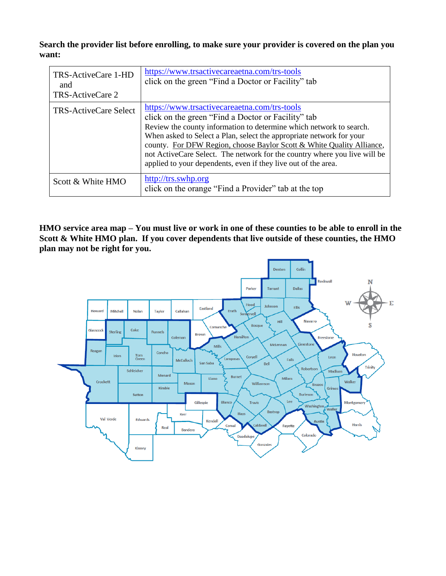**Search the provider list before enrolling, to make sure your provider is covered on the plan you want:**

| TRS-ActiveCare 1-HD<br>and<br>TRS-ActiveCare 2 | https://www.trsactivecareaetna.com/trs-tools<br>click on the green "Find a Doctor or Facility" tab                                                                                                                                                                                                                                                                                                                                                                        |
|------------------------------------------------|---------------------------------------------------------------------------------------------------------------------------------------------------------------------------------------------------------------------------------------------------------------------------------------------------------------------------------------------------------------------------------------------------------------------------------------------------------------------------|
| <b>TRS-ActiveCare Select</b>                   | https://www.trsactivecareaetna.com/trs-tools<br>click on the green "Find a Doctor or Facility" tab<br>Review the county information to determine which network to search.<br>When asked to Select a Plan, select the appropriate network for your<br>county. For DFW Region, choose Baylor Scott & White Quality Alliance,<br>not ActiveCare Select. The network for the country where you live will be<br>applied to your dependents, even if they live out of the area. |
| Scott & White HMO                              | http://trs.swhp.org<br>click on the orange "Find a Provider" tab at the top                                                                                                                                                                                                                                                                                                                                                                                               |

**HMO service area map – You must live or work in one of these counties to be able to enroll in the Scott & White HMO plan. If you cover dependents that live outside of these counties, the HMO plan may not be right for you.**

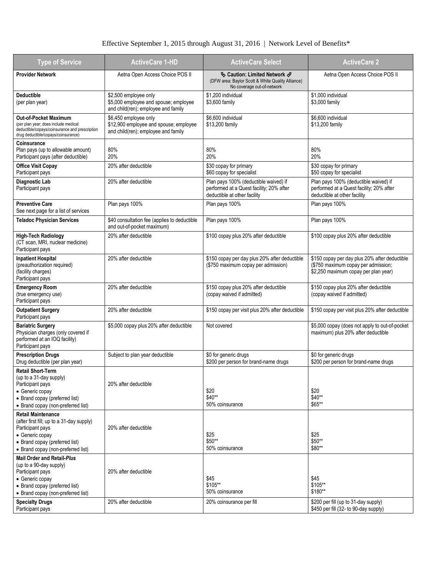### Effective September 1, 2015 through August 31, 2016 | Network Level of Benefits\*

| <b>Type of Service</b>                                                                                                                                                                | <b>ActiveCare 1-HD</b>                                                                                 | <b>ActiveCare Select</b>                                                                                               | <b>ActiveCare 2</b>                                                                                                          |
|---------------------------------------------------------------------------------------------------------------------------------------------------------------------------------------|--------------------------------------------------------------------------------------------------------|------------------------------------------------------------------------------------------------------------------------|------------------------------------------------------------------------------------------------------------------------------|
| <b>Provider Network</b>                                                                                                                                                               | Aetna Open Access Choice POS II                                                                        | <b>♦ Caution: Limited Network ♦</b><br>(DFW area: Baylor Scott & White Quality Alliance)<br>No coverage out-of-network | Aetna Open Access Choice POS II                                                                                              |
| <b>Deductible</b><br>(per plan year)                                                                                                                                                  | \$2,500 employee only<br>\$5,000 employee and spouse; employee<br>and child(ren); employee and family  | \$1,200 individual<br>\$3,600 family                                                                                   | \$1,000 individual<br>\$3,000 family                                                                                         |
| <b>Out-of-Pocket Maximum</b><br>(per plan year; does include medical<br>deductible/copays/coinsurance and prescription<br>drug deductible/copays/coinsurance)                         | \$6,450 employee only<br>\$12,900 employee and spouse; employee<br>and child(ren); employee and family | \$6,600 individual<br>\$13,200 family                                                                                  | \$6,600 individual<br>\$13,200 family                                                                                        |
| Coinsurance<br>Plan pays (up to allowable amount)<br>Participant pays (after deductible)                                                                                              | 80%<br>20%                                                                                             | 80%<br>20%                                                                                                             | 80%<br>20%                                                                                                                   |
| <b>Office Visit Copay</b><br>Participant pays                                                                                                                                         | 20% after deductible                                                                                   | \$30 copay for primary<br>\$60 copay for specialist                                                                    | \$30 copay for primary<br>\$50 copay for specialist                                                                          |
| Diagnostic Lab<br>Participant pays                                                                                                                                                    | 20% after deductible                                                                                   | Plan pays 100% (deductible waived) if<br>performed at a Quest facility; 20% after<br>deductible at other facility      | Plan pays 100% (deductible waived) if<br>performed at a Quest facility; 20% after<br>deductible at other facility            |
| <b>Preventive Care</b><br>See next page for a list of services                                                                                                                        | Plan pays 100%                                                                                         | Plan pays 100%                                                                                                         | Plan pays 100%                                                                                                               |
| <b>Teladoc Physician Services</b>                                                                                                                                                     | \$40 consultation fee (applies to deductible<br>and out-of-pocket maximum)                             | Plan pays 100%                                                                                                         | Plan pays 100%                                                                                                               |
| <b>High-Tech Radiology</b><br>(CT scan, MRI, nuclear medicine)<br>Participant pays                                                                                                    | 20% after deductible                                                                                   | \$100 copay plus 20% after deductible                                                                                  | \$100 copay plus 20% after deductible                                                                                        |
| <b>Inpatient Hospital</b><br>(preauthorization required)<br>(facility charges)<br>Participant pays                                                                                    | 20% after deductible                                                                                   | \$150 copay per day plus 20% after deductible<br>(\$750 maximum copay per admission)                                   | \$150 copay per day plus 20% after deductible<br>(\$750 maximum copay per admission;<br>\$2,250 maximum copay per plan year) |
| <b>Emergency Room</b><br>(true emergency use)<br>Participant pays                                                                                                                     | 20% after deductible                                                                                   | \$150 copay plus 20% after deductible<br>(copay waived if admitted)                                                    | \$150 copay plus 20% after deductible<br>(copay waived if admitted)                                                          |
| <b>Outpatient Surgery</b><br>Participant pays                                                                                                                                         | 20% after deductible                                                                                   | \$150 copay per visit plus 20% after deductible                                                                        | \$150 copay per visit plus 20% after deductible                                                                              |
| <b>Bariatric Surgery</b><br>Physician charges (only covered if<br>performed at an IOQ facility)<br>Participant pays                                                                   | \$5,000 copay plus 20% after deductible                                                                | Not covered                                                                                                            | \$5,000 copay (does not apply to out-of-pocket<br>maximum) plus 20% after deductible                                         |
| <b>Prescription Drugs</b><br>Drug deductible (per plan year)                                                                                                                          | Subject to plan year deductible                                                                        | \$0 for generic drugs<br>\$200 per person for brand-name drugs                                                         | \$0 for generic drugs<br>\$200 per person for brand-name drugs                                                               |
| <b>Retail Short-Term</b><br>(up to a 31-day supply)<br>Participant pays<br>• Generic copay<br>• Brand copay (preferred list)<br>• Brand copay (non-preferred list)                    | 20% after deductible                                                                                   | \$20<br>\$40**<br>50% coinsurance                                                                                      | \$20<br>\$40**<br>\$65**                                                                                                     |
| <b>Retail Maintenance</b><br>(after first fill; up to a 31-day supply)<br>Participant pays<br>• Generic copay<br>• Brand copay (preferred list)<br>• Brand copay (non-preferred list) | 20% after deductible                                                                                   | \$25<br>\$50**<br>50% coinsurance                                                                                      | \$25<br>\$50**<br>\$80**                                                                                                     |
| Mail Order and Retail-Plus<br>(up to a 90-day supply)<br>Participant pays<br>• Generic copay<br>• Brand copay (preferred list)<br>• Brand copay (non-preferred list)                  | 20% after deductible                                                                                   | \$45<br>\$105**<br>50% coinsurance                                                                                     | \$45<br>\$105**<br>\$180**                                                                                                   |
| <b>Specialty Drugs</b><br>Participant pays                                                                                                                                            | 20% after deductible                                                                                   | 20% coinsurance per fill                                                                                               | \$200 per fill (up to 31-day supply)<br>\$450 per fill (32- to 90-day supply)                                                |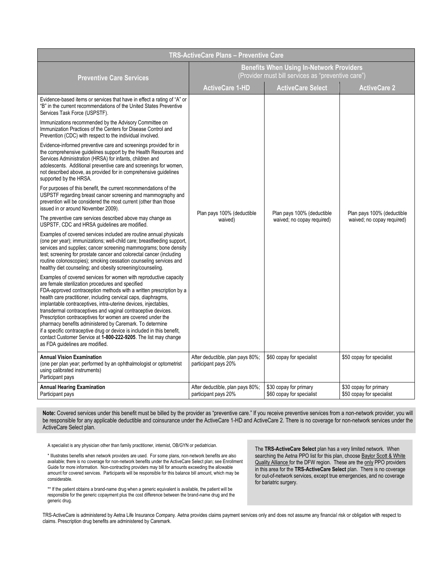| TRS-ActiveCare Plans - Preventive Care                                                                                                                                                                                                                                                                                                                                                                                                                                                                                                                                                                                                                                                                          |                                                                                                       |                                                     |                                                     |  |
|-----------------------------------------------------------------------------------------------------------------------------------------------------------------------------------------------------------------------------------------------------------------------------------------------------------------------------------------------------------------------------------------------------------------------------------------------------------------------------------------------------------------------------------------------------------------------------------------------------------------------------------------------------------------------------------------------------------------|-------------------------------------------------------------------------------------------------------|-----------------------------------------------------|-----------------------------------------------------|--|
| <b>Preventive Care Services</b>                                                                                                                                                                                                                                                                                                                                                                                                                                                                                                                                                                                                                                                                                 | <b>Benefits When Using In-Network Providers</b><br>(Provider must bill services as "preventive care") |                                                     |                                                     |  |
|                                                                                                                                                                                                                                                                                                                                                                                                                                                                                                                                                                                                                                                                                                                 | <b>ActiveCare 1-HD</b>                                                                                | <b>ActiveCare Select</b>                            | <b>ActiveCare 2</b>                                 |  |
| Evidence-based items or services that have in effect a rating of "A" or<br>"B" in the current recommendations of the United States Preventive<br>Services Task Force (USPSTF).                                                                                                                                                                                                                                                                                                                                                                                                                                                                                                                                  |                                                                                                       |                                                     |                                                     |  |
| Immunizations recommended by the Advisory Committee on<br>Immunization Practices of the Centers for Disease Control and<br>Prevention (CDC) with respect to the individual involved.                                                                                                                                                                                                                                                                                                                                                                                                                                                                                                                            |                                                                                                       |                                                     |                                                     |  |
| Evidence-informed preventive care and screenings provided for in<br>the comprehensive quidelines support by the Health Resources and<br>Services Administration (HRSA) for infants, children and<br>adolescents. Additional preventive care and screenings for women,<br>not described above, as provided for in comprehensive guidelines<br>supported by the HRSA.                                                                                                                                                                                                                                                                                                                                             |                                                                                                       |                                                     |                                                     |  |
| For purposes of this benefit, the current recommendations of the<br>USPSTF regarding breast cancer screening and mammography and<br>prevention will be considered the most current (other than those<br>issued in or around November 2009).                                                                                                                                                                                                                                                                                                                                                                                                                                                                     | Plan pays 100% (deductible                                                                            | Plan pays 100% (deductible                          | Plan pays 100% (deductible                          |  |
| The preventive care services described above may change as<br>USPSTF, CDC and HRSA guidelines are modified.                                                                                                                                                                                                                                                                                                                                                                                                                                                                                                                                                                                                     | waived)                                                                                               | waived; no copay required)                          | waived; no copay required)                          |  |
| Examples of covered services included are routine annual physicals<br>(one per year); immunizations; well-child care; breastfeeding support,<br>services and supplies; cancer screening mammograms; bone density<br>test; screening for prostate cancer and colorectal cancer (including<br>routine colonoscopies); smoking cessation counseling services and<br>healthy diet counseling; and obesity screening/counseling.                                                                                                                                                                                                                                                                                     |                                                                                                       |                                                     |                                                     |  |
| Examples of covered services for women with reproductive capacity<br>are female sterilization procedures and specified<br>FDA-approved contraception methods with a written prescription by a<br>health care practitioner, including cervical caps, diaphragms,<br>implantable contraceptives, intra-uterine devices, injectables,<br>transdermal contraceptives and vaginal contraceptive devices.<br>Prescription contraceptives for women are covered under the<br>pharmacy benefits administered by Caremark. To determine<br>if a specific contraceptive drug or device is included in this benefit,<br>contact Customer Service at 1-800-222-9205. The list may change<br>as FDA guidelines are modified. |                                                                                                       |                                                     |                                                     |  |
| <b>Annual Vision Examination</b><br>(one per plan year; performed by an ophthalmologist or optometrist<br>using calibrated instruments)<br>Participant pays                                                                                                                                                                                                                                                                                                                                                                                                                                                                                                                                                     | After deductible, plan pays 80%;<br>participant pays 20%                                              | \$60 copay for specialist                           | \$50 copay for specialist                           |  |
| <b>Annual Hearing Examination</b><br>Participant pays                                                                                                                                                                                                                                                                                                                                                                                                                                                                                                                                                                                                                                                           | After deductible, plan pays 80%;<br>participant pays 20%                                              | \$30 copay for primary<br>\$60 copay for specialist | \$30 copay for primary<br>\$50 copay for specialist |  |

**Note:** Covered services under this benefit must be billed by the provider as "preventive care." If you receive preventive services from a non-network provider, you will be responsible for any applicable deductible and coinsurance under the ActiveCare 1-HD and ActiveCare 2. There is no coverage for non-network services under the ActiveCare Select plan.

A specialist is any physician other than family practitioner, internist, OB/GYN or pediatrician.

\* Illustrates benefits when network providers are used. For some plans, non-network benefits are also available; there is no coverage for non-network benefits under the ActiveCare Select plan; see Enrollment Guide for more information. Non-contracting providers may bill for amounts exceeding the allowable amount for covered services. Participants will be responsible for this balance bill amount, which may be considerable.

\*\* If the patient obtains a brand-name drug when a generic equivalent is available, the patient will be responsible for the generic copayment plus the cost difference between the brand-name drug and the generic drug.

The **TRS-ActiveCare Select** plan has a very limited network. When searching the Aetna PPO list for this plan, choose Baylor Scott & White Quality Alliance for the DFW region. These are the only PPO providers in this area for the **TRS-ActiveCare Select** plan. There is no coverage for out-of-network services, except true emergencies, and no coverage for bariatric surgery.

TRS-ActiveCare is administered by Aetna Life Insurance Company. Aetna provides claims payment services only and does not assume any financial risk or obligation with respect to claims. Prescription drug benefits are administered by Caremark.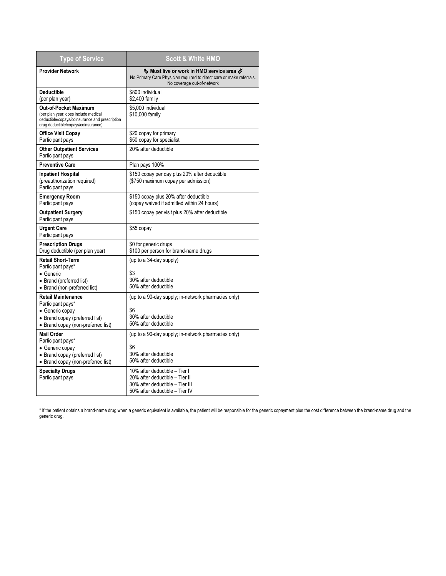| <b>Type of Service</b>                                                                                                                                                          | <b>Scott &amp; White HMO</b>                                                                                                                                                               |
|---------------------------------------------------------------------------------------------------------------------------------------------------------------------------------|--------------------------------------------------------------------------------------------------------------------------------------------------------------------------------------------|
| <b>Provider Network</b>                                                                                                                                                         | $\mathfrak{G}% _{k}(G)$ Must live or work in HMO service area $\mathcal{A}% _{k}(G)$<br>No Primary Care Physician required to direct care or make referrals.<br>No coverage out-of-network |
| <b>Deductible</b><br>(per plan year)                                                                                                                                            | \$800 individual<br>\$2,400 family                                                                                                                                                         |
| <b>Out-of-Pocket Maximum</b><br>(per plan year; does include medical<br>deductible/copays/coinsurance and prescription<br>drug deductible/copays/coinsurance)                   | \$5,000 individual<br>\$10,000 family                                                                                                                                                      |
| <b>Office Visit Copay</b><br>Participant pays                                                                                                                                   | \$20 copay for primary<br>\$50 copay for specialist                                                                                                                                        |
| <b>Other Outpatient Services</b><br>Participant pays                                                                                                                            | 20% after deductible                                                                                                                                                                       |
| <b>Preventive Care</b>                                                                                                                                                          | Plan pays 100%                                                                                                                                                                             |
| <b>Inpatient Hospital</b><br>(preauthorization required)<br>Participant pays                                                                                                    | \$150 copay per day plus 20% after deductible<br>(\$750 maximum copay per admission)                                                                                                       |
| <b>Emergency Room</b><br>Participant pays                                                                                                                                       | \$150 copay plus 20% after deductible<br>(copay waived if admitted within 24 hours)                                                                                                        |
| <b>Outpatient Surgery</b><br>Participant pays                                                                                                                                   | \$150 copay per visit plus 20% after deductible                                                                                                                                            |
| <b>Urgent Care</b><br>Participant pays                                                                                                                                          | \$55 copay                                                                                                                                                                                 |
| <b>Prescription Drugs</b><br>Drug deductible (per plan year)                                                                                                                    | \$0 for generic drugs<br>\$100 per person for brand-name drugs                                                                                                                             |
| <b>Retail Short-Term</b><br>Participant pays*<br>• Generic<br>• Brand (preferred list)<br>• Brand (non-preferred list)                                                          | (up to a 34-day supply)<br>\$3<br>30% after deductible<br>50% after deductible                                                                                                             |
| <b>Retail Maintenance</b><br>Participant pays*<br>• Generic copay<br>• Brand copay (preferred list)<br>• Brand copay (non-preferred list)                                       | (up to a 90-day supply; in-network pharmacies only)<br>\$6<br>30% after deductible<br>50% after deductible                                                                                 |
| <b>Mail Order</b><br>Participant pays*<br>• Generic copay<br>• Brand copay (preferred list)<br>• Brand copay (non-preferred list)<br><b>Specialty Drugs</b><br>Participant pays | (up to a 90-day supply; in-network pharmacies only)<br>\$6<br>30% after deductible<br>50% after deductible<br>10% after deductible - Tier I<br>20% after deductible - Tier II              |
|                                                                                                                                                                                 | 30% after deductible - Tier III<br>50% after deductible - Tier IV                                                                                                                          |

\* If the patient obtains a brand-name drug when a generic equivalent is available, the patient will be responsible for the generic copayment plus the cost difference between the brand-name drug and the generic drug.